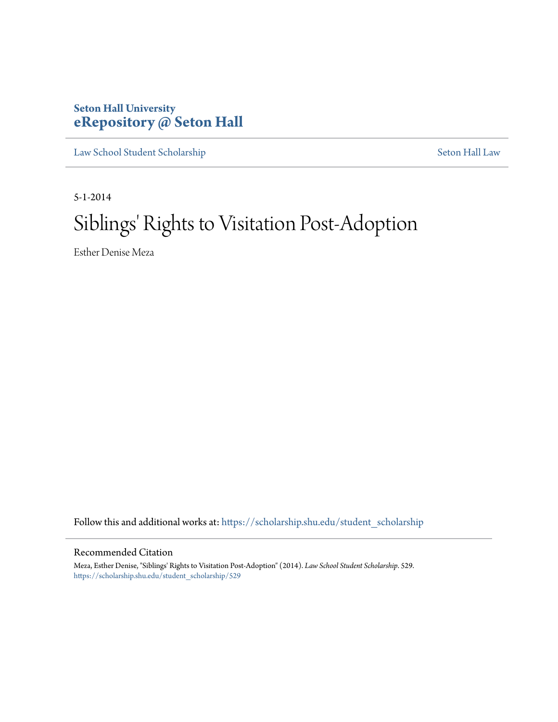# **Seton Hall University [eRepository @ Seton Hall](https://scholarship.shu.edu?utm_source=scholarship.shu.edu%2Fstudent_scholarship%2F529&utm_medium=PDF&utm_campaign=PDFCoverPages)**

[Law School Student Scholarship](https://scholarship.shu.edu/student_scholarship?utm_source=scholarship.shu.edu%2Fstudent_scholarship%2F529&utm_medium=PDF&utm_campaign=PDFCoverPages) [Seton Hall Law](https://scholarship.shu.edu/law?utm_source=scholarship.shu.edu%2Fstudent_scholarship%2F529&utm_medium=PDF&utm_campaign=PDFCoverPages)

5-1-2014

# Siblings' Rights to Visitation Post-Adoption

Esther Denise Meza

Follow this and additional works at: [https://scholarship.shu.edu/student\\_scholarship](https://scholarship.shu.edu/student_scholarship?utm_source=scholarship.shu.edu%2Fstudent_scholarship%2F529&utm_medium=PDF&utm_campaign=PDFCoverPages)

#### Recommended Citation

Meza, Esther Denise, "Siblings' Rights to Visitation Post-Adoption" (2014). *Law School Student Scholarship*. 529. [https://scholarship.shu.edu/student\\_scholarship/529](https://scholarship.shu.edu/student_scholarship/529?utm_source=scholarship.shu.edu%2Fstudent_scholarship%2F529&utm_medium=PDF&utm_campaign=PDFCoverPages)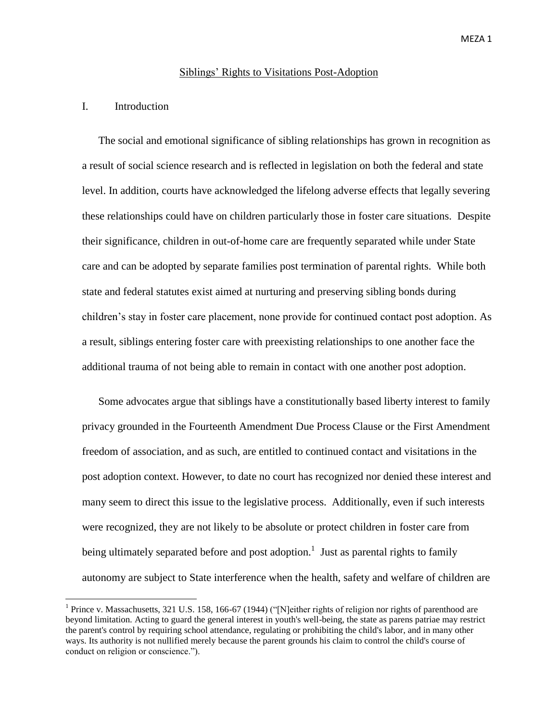#### Siblings' Rights to Visitations Post-Adoption

# I. Introduction

 $\overline{a}$ 

The social and emotional significance of sibling relationships has grown in recognition as a result of social science research and is reflected in legislation on both the federal and state level. In addition, courts have acknowledged the lifelong adverse effects that legally severing these relationships could have on children particularly those in foster care situations. Despite their significance, children in out-of-home care are frequently separated while under State care and can be adopted by separate families post termination of parental rights. While both state and federal statutes exist aimed at nurturing and preserving sibling bonds during children's stay in foster care placement, none provide for continued contact post adoption. As a result, siblings entering foster care with preexisting relationships to one another face the additional trauma of not being able to remain in contact with one another post adoption.

Some advocates argue that siblings have a constitutionally based liberty interest to family privacy grounded in the Fourteenth Amendment Due Process Clause or the First Amendment freedom of association, and as such, are entitled to continued contact and visitations in the post adoption context. However, to date no court has recognized nor denied these interest and many seem to direct this issue to the legislative process. Additionally, even if such interests were recognized, they are not likely to be absolute or protect children in foster care from being ultimately separated before and post adoption.<sup>1</sup> Just as parental rights to family autonomy are subject to State interference when the health, safety and welfare of children are

<sup>&</sup>lt;sup>1</sup> Prince v. Massachusetts, 321 U.S. 158, 166-67 (1944) ("[N]either rights of religion nor rights of parenthood are beyond limitation. Acting to guard the general interest in youth's well-being, the state as parens patriae may restrict the parent's control by requiring school attendance, regulating or prohibiting the child's labor, and in many other ways. Its authority is not nullified merely because the parent grounds his claim to control the child's course of conduct on religion or conscience.").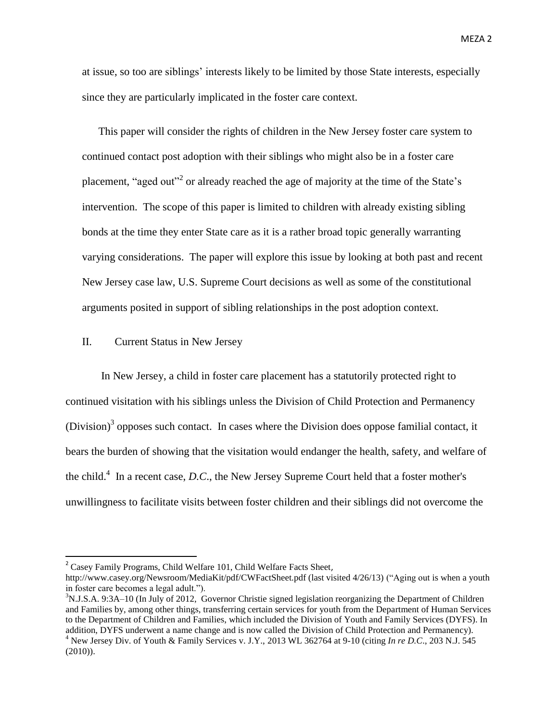at issue, so too are siblings' interests likely to be limited by those State interests, especially since they are particularly implicated in the foster care context.

This paper will consider the rights of children in the New Jersey foster care system to continued contact post adoption with their siblings who might also be in a foster care placement, "aged out"<sup>2</sup> or already reached the age of majority at the time of the State's intervention. The scope of this paper is limited to children with already existing sibling bonds at the time they enter State care as it is a rather broad topic generally warranting varying considerations. The paper will explore this issue by looking at both past and recent New Jersey case law, U.S. Supreme Court decisions as well as some of the constitutional arguments posited in support of sibling relationships in the post adoption context.

# II. Current Status in New Jersey

In New Jersey, a child in foster care placement has a statutorily protected right to continued visitation with his siblings unless the Division of Child Protection and Permanency (Division) $3$  opposes such contact. In cases where the Division does oppose familial contact, it bears the burden of showing that the visitation would endanger the health, safety, and welfare of the child.<sup>4</sup> In a recent case, *D.C.*, the New Jersey Supreme Court held that a foster mother's unwillingness to facilitate visits between foster children and their siblings did not overcome the

<sup>&</sup>lt;sup>2</sup> Casey Family Programs, Child Welfare 101, Child Welfare Facts Sheet,

http://www.casey.org/Newsroom/MediaKit/pdf/CWFactSheet.pdf (last visited 4/26/13) ("Aging out is when a youth in foster care becomes a legal adult.").

 $3N.J.S.A. 9:3A-10$  (In July of 2012, Governor Christie signed legislation reorganizing the Department of Children and Families by, among other things, transferring certain services for youth from the Department of Human Services to the Department of Children and Families, which included the Division of Youth and Family Services (DYFS). In addition, DYFS underwent a name change and is now called the Division of Child Protection and Permanency).

<sup>4</sup> New Jersey Div. of Youth & Family Services v. J.Y., 2013 WL 362764 at 9-10 (citing *In re D.C*., 203 N.J. 545 (2010)).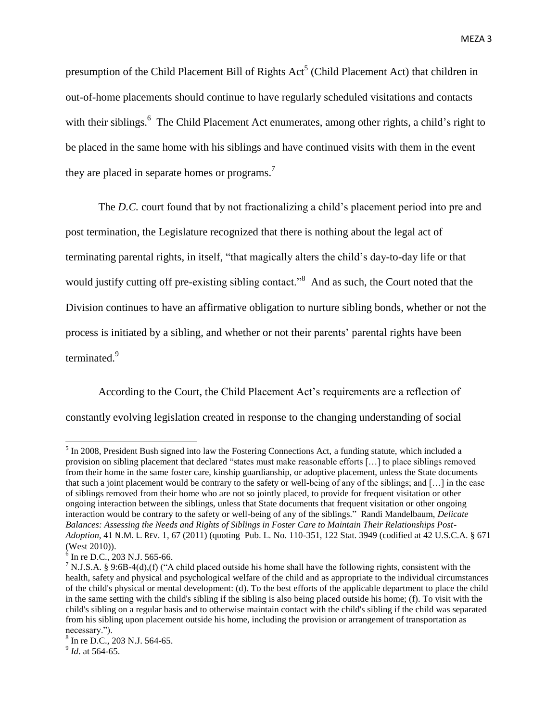presumption of the Child Placement Bill of Rights Act<sup>5</sup> (Child Placement Act) that children in out-of-home placements should continue to have regularly scheduled visitations and contacts with their siblings.<sup>6</sup> The Child Placement Act enumerates, among other rights, a child's right to be placed in the same home with his siblings and have continued visits with them in the event they are placed in separate homes or programs.<sup>7</sup>

The *D.C.* court found that by not fractionalizing a child's placement period into pre and post termination, the Legislature recognized that there is nothing about the legal act of terminating parental rights, in itself, "that magically alters the child's day-to-day life or that would justify cutting off pre-existing sibling contact.<sup>38</sup> And as such, the Court noted that the Division continues to have an affirmative obligation to nurture sibling bonds, whether or not the process is initiated by a sibling, and whether or not their parents' parental rights have been terminated.<sup>9</sup>

According to the Court, the Child Placement Act's requirements are a reflection of constantly evolving legislation created in response to the changing understanding of social

 $\overline{a}$ 

 $<sup>5</sup>$  In 2008, President Bush signed into law the Fostering Connections Act, a funding statute, which included a</sup> provision on sibling placement that declared "states must make reasonable efforts […] to place siblings removed from their home in the same foster care, kinship guardianship, or adoptive placement, unless the State documents that such a joint placement would be contrary to the safety or well-being of any of the siblings; and […] in the case of siblings removed from their home who are not so jointly placed, to provide for frequent visitation or other ongoing interaction between the siblings, unless that State documents that frequent visitation or other ongoing interaction would be contrary to the safety or well-being of any of the siblings." Randi Mandelbaum, *Delicate Balances: Assessing the Needs and Rights of Siblings in Foster Care to Maintain Their Relationships Post-Adoption*, 41 N.M. L. REV. 1, 67 (2011) (quoting Pub. L. No. 110-351, 122 Stat. 3949 (codified at 42 U.S.C.A. § 671 (West 2010)).

 $6$  In re D.C., 203 N.J. 565-66.

<sup>&</sup>lt;sup>7</sup> N.J.S.A. § 9:6B-4(d),(f) ("A child placed outside his home shall have the following rights, consistent with the health, safety and physical and psychological welfare of the child and as appropriate to the individual circumstances of the child's physical or mental development: (d). To the best efforts of the applicable department to place the child in the same setting with the child's sibling if the sibling is also being placed outside his home; (f). To visit with the child's sibling on a regular basis and to otherwise maintain contact with the child's sibling if the child was separated from his sibling upon placement outside his home, including the provision or arrangement of transportation as necessary.").

<sup>8</sup> In re D.C., 203 N.J. 564-65.

<sup>9</sup> *Id*. at 564-65.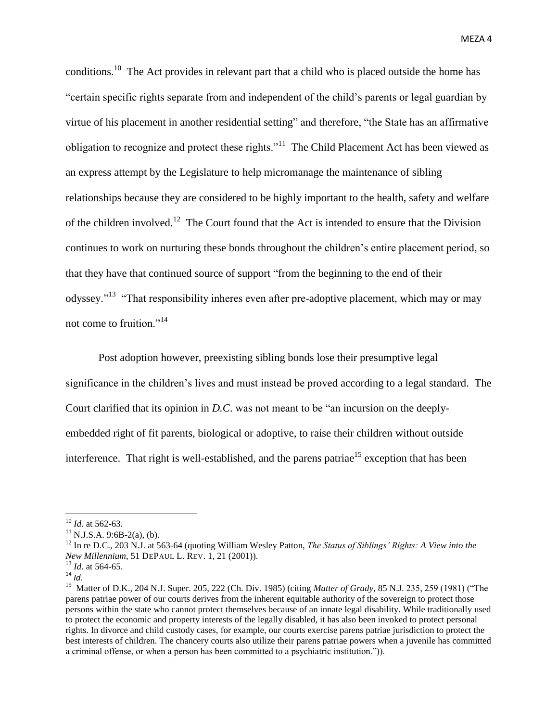conditions.<sup>10</sup> The Act provides in relevant part that a child who is placed outside the home has "certain specific rights separate from and independent of the child's parents or legal guardian by virtue of his placement in another residential setting" and therefore, "the State has an affirmative obligation to recognize and protect these rights."<sup>11</sup> The Child Placement Act has been viewed as an express attempt by the Legislature to help micromanage the maintenance of sibling relationships because they are considered to be highly important to the health, safety and welfare of the children involved.<sup>12</sup> The Court found that the Act is intended to ensure that the Division continues to work on nurturing these bonds throughout the children's entire placement period, so that they have that continued source of support "from the beginning to the end of their odyssey."<sup>13</sup> "That responsibility inheres even after pre-adoptive placement, which may or may not come to fruition."<sup>14</sup>

Post adoption however, preexisting sibling bonds lose their presumptive legal significance in the children's lives and must instead be proved according to a legal standard. The Court clarified that its opinion in *D.C*. was not meant to be "an incursion on the deeplyembedded right of fit parents, biological or adoptive, to raise their children without outside interference. That right is well-established, and the parens patriae<sup>15</sup> exception that has been

<sup>10</sup> *Id*. at 562-63.

 $11$  N.J.S.A. 9:6B-2(a), (b).

<sup>12</sup> In re D.C., 203 N.J. at 563-64 (quoting William Wesley Patton, *The Status of Siblings' Rights: A View into the New Millennium*, 51 DEPAUL L. REV. 1, 21 (2001)).

<sup>13</sup> *Id*. at 564-65.

 $14 \frac{10}{10}$ .

<sup>15</sup> Matter of D.K., 204 N.J. Super. 205, 222 (Ch. Div. 1985) (citing *Matter of Grady*, 85 N.J. 235, 259 (1981) ("The parens patriae power of our courts derives from the inherent equitable authority of the sovereign to protect those persons within the state who cannot protect themselves because of an innate legal disability. While traditionally used to protect the economic and property interests of the legally disabled, it has also been invoked to protect personal rights. In divorce and child custody cases, for example, our courts exercise parens patriae jurisdiction to protect the best interests of children. The chancery courts also utilize their parens patriae powers when a juvenile has committed a criminal offense, or when a person has been committed to a psychiatric institution.")).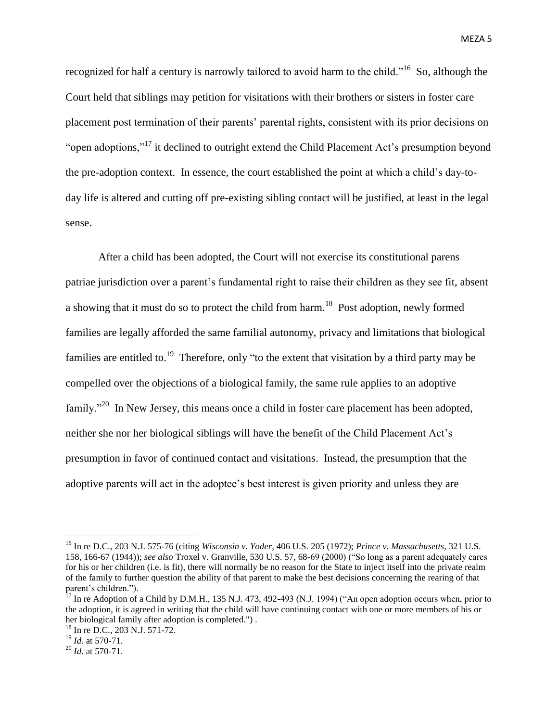recognized for half a century is narrowly tailored to avoid harm to the child."<sup>16</sup> So, although the Court held that siblings may petition for visitations with their brothers or sisters in foster care placement post termination of their parents' parental rights, consistent with its prior decisions on "open adoptions,"<sup>17</sup> it declined to outright extend the Child Placement Act's presumption beyond the pre-adoption context. In essence, the court established the point at which a child's day-today life is altered and cutting off pre-existing sibling contact will be justified, at least in the legal sense.

After a child has been adopted, the Court will not exercise its constitutional parens patriae jurisdiction over a parent's fundamental right to raise their children as they see fit, absent a showing that it must do so to protect the child from harm.<sup>18</sup> Post adoption, newly formed families are legally afforded the same familial autonomy, privacy and limitations that biological families are entitled to.<sup>19</sup> Therefore, only "to the extent that visitation by a third party may be compelled over the objections of a biological family, the same rule applies to an adoptive family."<sup>20</sup> In New Jersey, this means once a child in foster care placement has been adopted, neither she nor her biological siblings will have the benefit of the Child Placement Act's presumption in favor of continued contact and visitations. Instead, the presumption that the adoptive parents will act in the adoptee's best interest is given priority and unless they are

<sup>16</sup> In re D.C., 203 N.J. 575-76 (citing *Wisconsin v. Yoder*, 406 U.S. 205 (1972); *Prince v. Massachusetts*, 321 U.S. 158, 166-67 (1944)); *see also* Troxel v. Granville, 530 U.S. 57, 68-69 (2000) ("So long as a parent adequately cares for his or her children (i.e. is fit), there will normally be no reason for the State to inject itself into the private realm of the family to further question the ability of that parent to make the best decisions concerning the rearing of that parent's children.").

 $17$  In re Adoption of a Child by D.M.H., 135 N.J. 473, 492-493 (N.J. 1994) ("An open adoption occurs when, prior to the adoption, it is agreed in writing that the child will have continuing contact with one or more members of his or her biological family after adoption is completed.") .

<sup>18</sup> In re D.C., 203 N.J. 571-72.

<sup>19</sup> *Id*. at 570-71.

<sup>20</sup> *Id*. at 570-71.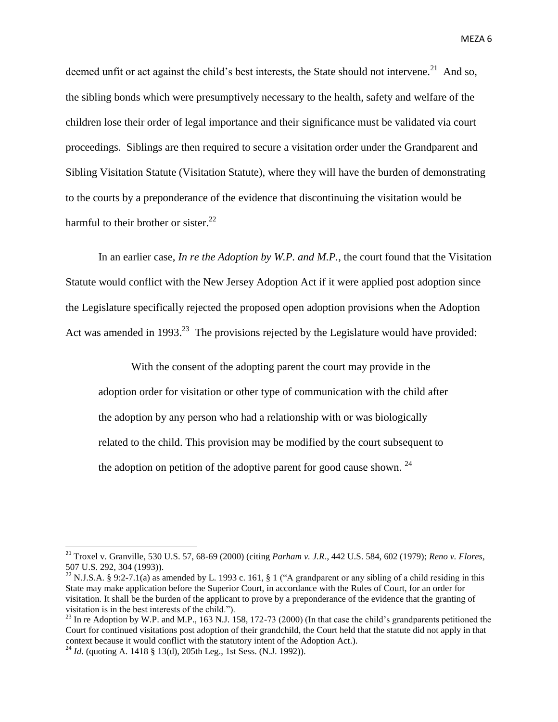deemed unfit or act against the child's best interests, the State should not intervene.<sup>21</sup> And so, the sibling bonds which were presumptively necessary to the health, safety and welfare of the children lose their order of legal importance and their significance must be validated via court proceedings. Siblings are then required to secure a visitation order under the Grandparent and Sibling Visitation Statute (Visitation Statute), where they will have the burden of demonstrating to the courts by a preponderance of the evidence that discontinuing the visitation would be harmful to their brother or sister.<sup>22</sup>

In an earlier case, *In re the Adoption by W.P. and M.P.*, the court found that the Visitation Statute would conflict with the New Jersey Adoption Act if it were applied post adoption since the Legislature specifically rejected the proposed open adoption provisions when the Adoption Act was amended in 1993.<sup>23</sup> The provisions rejected by the Legislature would have provided:

With the consent of the adopting parent the court may provide in the adoption order for visitation or other type of communication with the child after the adoption by any person who had a relationship with or was biologically related to the child. This provision may be modified by the court subsequent to the adoption on petition of the adoptive parent for good cause shown.  $24$ 

<sup>21</sup> Troxel v. Granville, 530 U.S. 57, 68-69 (2000) (citing *Parham v. J.R*., 442 U.S. 584, 602 (1979); *Reno v. Flores*, 507 U.S. 292, 304 (1993)).

<sup>&</sup>lt;sup>22</sup> N.J.S.A. § 9:2-7.1(a) as amended by L. 1993 c. 161, § 1 ("A grandparent or any sibling of a child residing in this State may make application before the Superior Court, in accordance with the Rules of Court, for an order for visitation. It shall be the burden of the applicant to prove by a preponderance of the evidence that the granting of visitation is in the best interests of the child.").

 $^{23}$  In re Adoption by W.P. and M.P., 163 N.J. 158, 172-73 (2000) (In that case the child's grandparents petitioned the Court for continued visitations post adoption of their grandchild, the Court held that the statute did not apply in that context because it would conflict with the statutory intent of the Adoption Act.).

<sup>&</sup>lt;sup>24</sup> *Id.* (quoting A. 1418 § 13(d), 205th Leg., 1st Sess. (N.J. 1992)).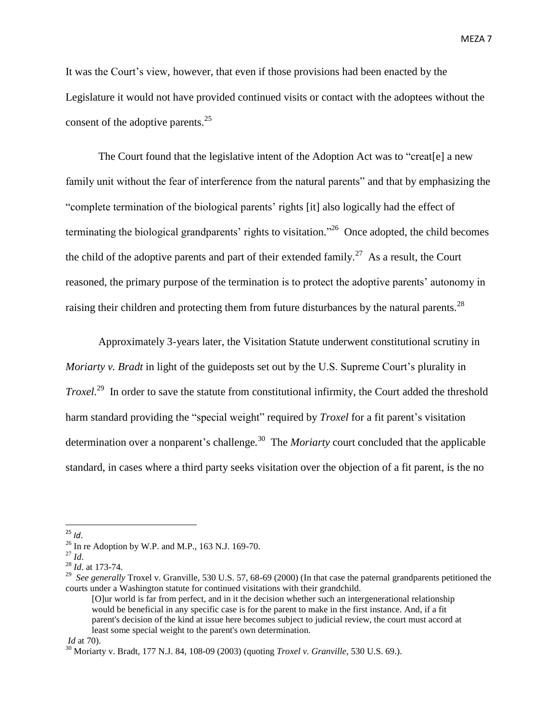It was the Court's view, however, that even if those provisions had been enacted by the Legislature it would not have provided continued visits or contact with the adoptees without the consent of the adoptive parents.<sup>25</sup>

The Court found that the legislative intent of the Adoption Act was to "creat[e] a new family unit without the fear of interference from the natural parents" and that by emphasizing the "complete termination of the biological parents' rights [it] also logically had the effect of terminating the biological grandparents' rights to visitation."<sup>26</sup> Once adopted, the child becomes the child of the adoptive parents and part of their extended family.<sup>27</sup> As a result, the Court reasoned, the primary purpose of the termination is to protect the adoptive parents' autonomy in raising their children and protecting them from future disturbances by the natural parents.<sup>28</sup>

Approximately 3-years later, the Visitation Statute underwent constitutional scrutiny in *Moriarty v. Bradt* in light of the guideposts set out by the U.S. Supreme Court's plurality in *Troxel*. <sup>29</sup> In order to save the statute from constitutional infirmity, the Court added the threshold harm standard providing the "special weight" required by *Troxel* for a fit parent's visitation determination over a nonparent's challenge*.* 30 The *Moriarty* court concluded that the applicable standard, in cases where a third party seeks visitation over the objection of a fit parent, is the no

<sup>25</sup> *Id*.

 $^{26}$  In re Adoption by W.P. and M.P., 163 N.J. 169-70.

<sup>27</sup> *Id*.

<sup>28</sup> *Id*. at 173-74.

<sup>&</sup>lt;sup>29</sup> *See generally* Troxel v. Granville, 530 U.S. 57, 68-69 (2000) (In that case the paternal grandparents petitioned the courts under a Washington statute for continued visitations with their grandchild.

<sup>[</sup>O]ur world is far from perfect, and in it the decision whether such an intergenerational relationship would be beneficial in any specific case is for the parent to make in the first instance. And, if a fit parent's decision of the kind at issue here becomes subject to judicial review, the court must accord at least some special weight to the parent's own determination.

*Id* at 70).

<sup>30</sup> Moriarty v. Bradt, 177 N.J. 84, 108-09 (2003) (quoting *Troxel v. Granville*, 530 U.S. 69.).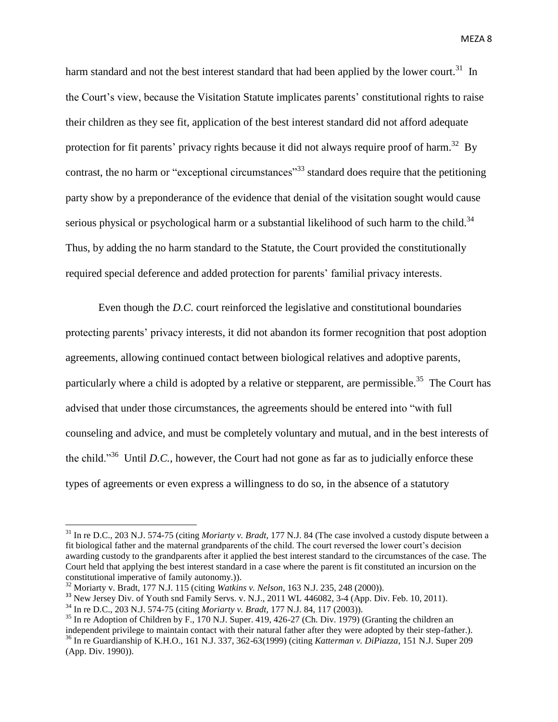harm standard and not the best interest standard that had been applied by the lower court.<sup>31</sup> In the Court's view, because the Visitation Statute implicates parents' constitutional rights to raise their children as they see fit, application of the best interest standard did not afford adequate protection for fit parents' privacy rights because it did not always require proof of harm.<sup>32</sup> By contrast, the no harm or "exceptional circumstances"<sup>33</sup> standard does require that the petitioning party show by a preponderance of the evidence that denial of the visitation sought would cause serious physical or psychological harm or a substantial likelihood of such harm to the child. $34$ Thus, by adding the no harm standard to the Statute, the Court provided the constitutionally required special deference and added protection for parents' familial privacy interests.

Even though the *D.C*. court reinforced the legislative and constitutional boundaries protecting parents' privacy interests, it did not abandon its former recognition that post adoption agreements, allowing continued contact between biological relatives and adoptive parents, particularly where a child is adopted by a relative or stepparent, are permissible.<sup>35</sup> The Court has advised that under those circumstances, the agreements should be entered into "with full counseling and advice, and must be completely voluntary and mutual, and in the best interests of the child."<sup>36</sup> Until *D.C.*, however, the Court had not gone as far as to judicially enforce these types of agreements or even express a willingness to do so, in the absence of a statutory

<sup>31</sup> In re D.C., 203 N.J. 574-75 (citing *Moriarty v. Bradt*, 177 N.J. 84 (The case involved a custody dispute between a fit biological father and the maternal grandparents of the child. The court reversed the lower court's decision awarding custody to the grandparents after it applied the best interest standard to the circumstances of the case. The Court held that applying the best interest standard in a case where the parent is fit constituted an incursion on the constitutional imperative of family autonomy.)).

<sup>32</sup> Moriarty v. Bradt, 177 N.J. 115 (citing *Watkins v. Nelson*, 163 N.J. 235, 248 (2000)).

<sup>&</sup>lt;sup>33</sup> New Jersey Div. of Youth snd Family Servs. v. N.J., 2011 WL 446082, 3-4 (App. Div. Feb. 10, 2011).

<sup>34</sup> In re D.C., 203 N.J. 574-75 (citing *Moriarty v. Bradt*, 177 N.J. 84, 117 (2003)).

 $35$  In re Adoption of Children by F., 170 N.J. Super. 419, 426-27 (Ch. Div. 1979) (Granting the children an independent privilege to maintain contact with their natural father after they were adopted by their step-father.). <sup>36</sup> In re Guardianship of K.H.O., 161 N.J. 337, 362-63(1999) (citing *Katterman v. DiPiazza*, 151 N.J. Super 209 (App. Div. 1990)).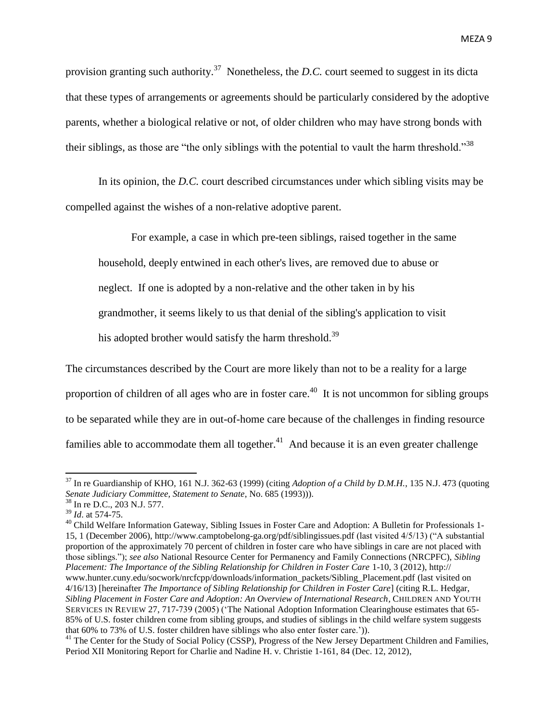provision granting such authority. <sup>37</sup> Nonetheless, the *D.C.* court seemed to suggest in its dicta that these types of arrangements or agreements should be particularly considered by the adoptive parents, whether a biological relative or not, of older children who may have strong bonds with their siblings, as those are "the only siblings with the potential to vault the harm threshold."<sup>38</sup>

In its opinion, the *D.C.* court described circumstances under which sibling visits may be compelled against the wishes of a non-relative adoptive parent.

For example, a case in which pre-teen siblings, raised together in the same household, deeply entwined in each other's lives, are removed due to abuse or neglect. If one is adopted by a non-relative and the other taken in by his grandmother, it seems likely to us that denial of the sibling's application to visit his adopted brother would satisfy the harm threshold.<sup>39</sup>

The circumstances described by the Court are more likely than not to be a reality for a large proportion of children of all ages who are in foster care.<sup>40</sup> It is not uncommon for sibling groups to be separated while they are in out-of-home care because of the challenges in finding resource families able to accommodate them all together. $^{41}$  And because it is an even greater challenge

<sup>37</sup> In re Guardianship of KHO, 161 N.J. 362-63 (1999) (citing *Adoption of a Child by D.M.H.*, 135 N.J. 473 (quoting *Senate Judiciary Committee, Statement to Senate*, No. 685 (1993))).

<sup>38</sup> In re D.C., 203 N.J. 577.

<sup>39</sup> *Id*. at 574-75.

<sup>&</sup>lt;sup>40</sup> Child Welfare Information Gateway, Sibling Issues in Foster Care and Adoption: A Bulletin for Professionals 1-15, 1 (December 2006), http://www.camptobelong-ga.org/pdf/siblingissues.pdf (last visited 4/5/13) ("A substantial proportion of the approximately 70 percent of children in foster care who have siblings in care are not placed with those siblings."); *see also* National Resource Center for Permanency and Family Connections (NRCPFC), *Sibling Placement: The Importance of the Sibling Relationship for Children in Foster Care* 1-10, 3 (2012), http:// www.hunter.cuny.edu/socwork/nrcfcpp/downloads/information\_packets/Sibling\_Placement.pdf (last visited on 4/16/13) [hereinafter *The Importance of Sibling Relationship for Children in Foster Care*] (citing R.L. Hedgar, *Sibling Placement in Foster Care and Adoption: An Overview of International Research,* CHILDREN AND YOUTH SERVICES IN REVIEW 27, 717-739 (2005) ('The National Adoption Information Clearinghouse estimates that 65- 85% of U.S. foster children come from sibling groups, and studies of siblings in the child welfare system suggests that 60% to 73% of U.S. foster children have siblings who also enter foster care.')).

<sup>&</sup>lt;sup>41</sup> The Center for the Study of Social Policy (CSSP), Progress of the New Jersey Department Children and Families, Period XII Monitoring Report for Charlie and Nadine H. v. Christie 1-161, 84 (Dec. 12, 2012),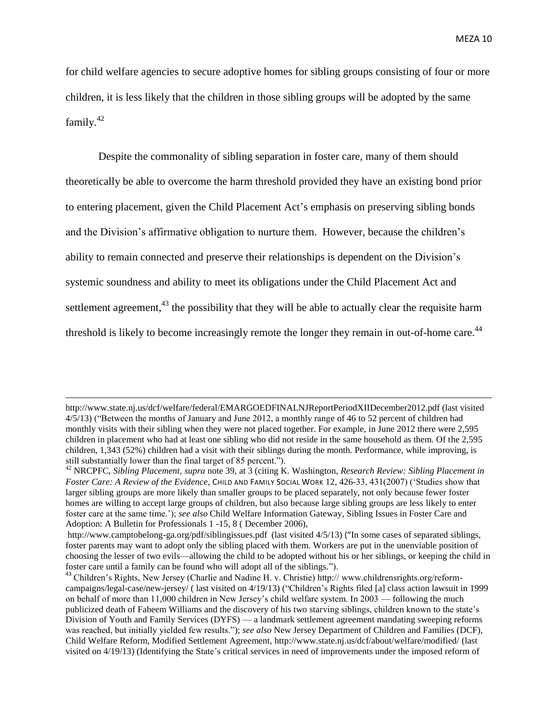for child welfare agencies to secure adoptive homes for sibling groups consisting of four or more children, it is less likely that the children in those sibling groups will be adopted by the same family.<sup>42</sup>

Despite the commonality of sibling separation in foster care, many of them should theoretically be able to overcome the harm threshold provided they have an existing bond prior to entering placement, given the Child Placement Act's emphasis on preserving sibling bonds and the Division's affirmative obligation to nurture them. However, because the children's ability to remain connected and preserve their relationships is dependent on the Division's systemic soundness and ability to meet its obligations under the Child Placement Act and settlement agreement,<sup>43</sup> the possibility that they will be able to actually clear the requisite harm threshold is likely to become increasingly remote the longer they remain in out-of-home care.<sup>44</sup>

http://www.state.nj.us/dcf/welfare/federal/EMARGOEDFINALNJReportPeriodXIIDecember2012.pdf (last visited 4/5/13) ("Between the months of January and June 2012, a monthly range of 46 to 52 percent of children had monthly visits with their sibling when they were not placed together. For example, in June 2012 there were 2,595 children in placement who had at least one sibling who did not reside in the same household as them. Of the 2,595 children, 1,343 (52%) children had a visit with their siblings during the month. Performance, while improving, is still substantially lower than the final target of 85 percent.").

<sup>42</sup> NRCPFC, *Sibling Placement*, *supra* note 39, at 3 (citing K. Washington, *Research Review: Sibling Placement in Foster Care: A Review of the Evidence*, CHILD AND FAMILY SOCIAL WORK 12, 426-33, 431(2007) ('Studies show that larger sibling groups are more likely than smaller groups to be placed separately, not only because fewer foster homes are willing to accept large groups of children, but also because large sibling groups are less likely to enter foster care at the same time.'); *see also* Child Welfare Information Gateway, Sibling Issues in Foster Care and Adoption: A Bulletin for Professionals 1 -15, 8 ( December 2006),

http://www.camptobelong-ga.org/pdf/siblingissues.pdf (last visited 4/5/13) ("In some cases of separated siblings, foster parents may want to adopt only the sibling placed with them. Workers are put in the unenviable position of choosing the lesser of two evils—allowing the child to be adopted without his or her siblings, or keeping the child in foster care until a family can be found who will adopt all of the siblings.").

<sup>&</sup>lt;sup>43</sup> Children's Rights, New Jersey (Charlie and Nadine H. v. Christie) http:// www.childrensrights.org/reformcampaigns/legal-case/new-jersey/ ( last visited on 4/19/13) ("Children's Rights filed [a] class action lawsuit in 1999 on behalf of more than 11,000 children in New Jersey's child welfare system. In 2003 — following the much publicized death of Faheem Williams and the discovery of his two starving siblings, children known to the state's Division of Youth and Family Services (DYFS) — a landmark settlement agreement mandating sweeping reforms was reached, but initially yielded few results."); *see also* New Jersey Department of Children and Families (DCF), Child Welfare Reform, Modified Settlement Agreement, http://www.state.nj.us/dcf/about/welfare/modified/ (last visited on 4/19/13) (Identifying the State's critical services in need of improvements under the imposed reform of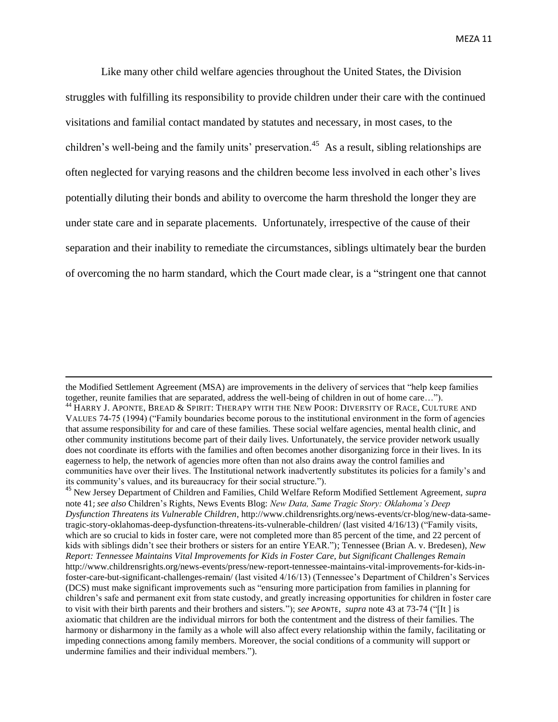Like many other child welfare agencies throughout the United States, the Division struggles with fulfilling its responsibility to provide children under their care with the continued visitations and familial contact mandated by statutes and necessary, in most cases, to the children's well-being and the family units' preservation.<sup>45</sup> As a result, sibling relationships are often neglected for varying reasons and the children become less involved in each other's lives potentially diluting their bonds and ability to overcome the harm threshold the longer they are under state care and in separate placements. Unfortunately, irrespective of the cause of their separation and their inability to remediate the circumstances, siblings ultimately bear the burden of overcoming the no harm standard, which the Court made clear, is a "stringent one that cannot

the Modified Settlement Agreement (MSA) are improvements in the delivery of services that "help keep families together, reunite families that are separated, address the well-being of children in out of home care…").

<sup>&</sup>lt;sup>44</sup> HARRY J. APONTE, BREAD & SPIRIT: THERAPY WITH THE NEW POOR: DIVERSITY OF RACE, CULTURE AND VALUES 74-75 (1994) ("Family boundaries become porous to the institutional environment in the form of agencies that assume responsibility for and care of these families. These social welfare agencies, mental health clinic, and other community institutions become part of their daily lives. Unfortunately, the service provider network usually does not coordinate its efforts with the families and often becomes another disorganizing force in their lives. In its eagerness to help, the network of agencies more often than not also drains away the control families and communities have over their lives. The Institutional network inadvertently substitutes its policies for a family's and its community's values, and its bureaucracy for their social structure.").

<sup>45</sup> New Jersey Department of Children and Families, Child Welfare Reform Modified Settlement Agreement, *supra* note 41; *see also* Children's Rights, News Events Blog: *New Data, Same Tragic Story: Oklahoma's Deep Dysfunction Threatens its Vulnerable Children*, http://www.childrensrights.org/news-events/cr-blog/new-data-sametragic-story-oklahomas-deep-dysfunction-threatens-its-vulnerable-children/ (last visited 4/16/13) ("Family visits, which are so crucial to kids in foster care, were not completed more than 85 percent of the time, and 22 percent of kids with siblings didn't see their brothers or sisters for an entire YEAR."); Tennessee (Brian A. v. Bredesen), *New Report: Tennessee Maintains Vital Improvements for Kids in Foster Care, but Significant Challenges Remain* http://www.childrensrights.org/news-events/press/new-report-tennessee-maintains-vital-improvements-for-kids-infoster-care-but-significant-challenges-remain/ (last visited 4/16/13) (Tennessee's Department of Children's Services (DCS) must make significant improvements such as "ensuring more participation from families in planning for children's safe and permanent exit from state custody, and greatly increasing opportunities for children in foster care to visit with their birth parents and their brothers and sisters."); *see* APONTE, *supra* note 43 at 73-74 ("[It ] is axiomatic that children are the individual mirrors for both the contentment and the distress of their families. The harmony or disharmony in the family as a whole will also affect every relationship within the family, facilitating or impeding connections among family members. Moreover, the social conditions of a community will support or undermine families and their individual members.").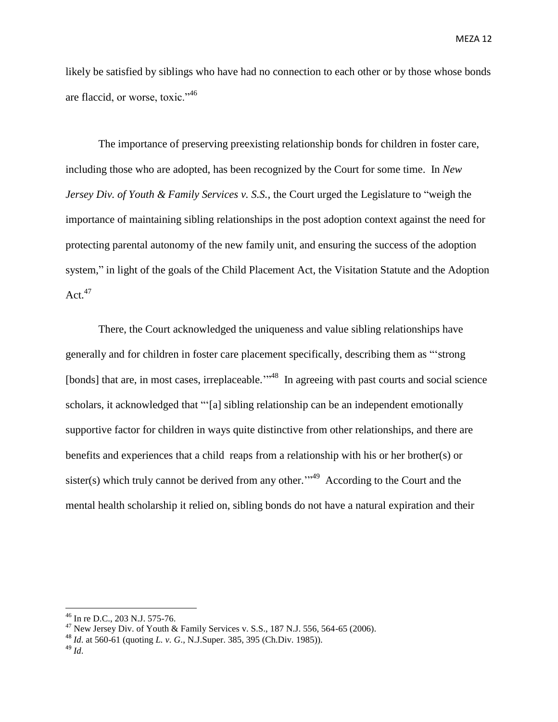likely be satisfied by siblings who have had no connection to each other or by those whose bonds are flaccid, or worse, toxic."<sup>46</sup>

The importance of preserving preexisting relationship bonds for children in foster care, including those who are adopted, has been recognized by the Court for some time. In *New Jersey Div. of Youth & Family Services v. S.S.*, the Court urged the Legislature to "weigh the importance of maintaining sibling relationships in the post adoption context against the need for protecting parental autonomy of the new family unit, and ensuring the success of the adoption system," in light of the goals of the Child Placement Act, the Visitation Statute and the Adoption Act. $47$ 

There, the Court acknowledged the uniqueness and value sibling relationships have generally and for children in foster care placement specifically, describing them as "'strong [bonds] that are, in most cases, irreplaceable."<sup>48</sup> In agreeing with past courts and social science scholars, it acknowledged that "'[a] sibling relationship can be an independent emotionally supportive factor for children in ways quite distinctive from other relationships, and there are benefits and experiences that a child reaps from a relationship with his or her brother(s) or sister(s) which truly cannot be derived from any other.<sup>",49</sup> According to the Court and the mental health scholarship it relied on, sibling bonds do not have a natural expiration and their

<sup>46</sup> In re D.C., 203 N.J. 575-76.

<sup>&</sup>lt;sup>47</sup> New Jersey Div. of Youth & Family Services v. S.S., 187 N.J. 556, 564-65 (2006).

<sup>48</sup> *Id*. at 560-61 (quoting *L. v. G*., N.J.Super. 385, 395 (Ch.Div. 1985)).

<sup>49</sup> *Id*.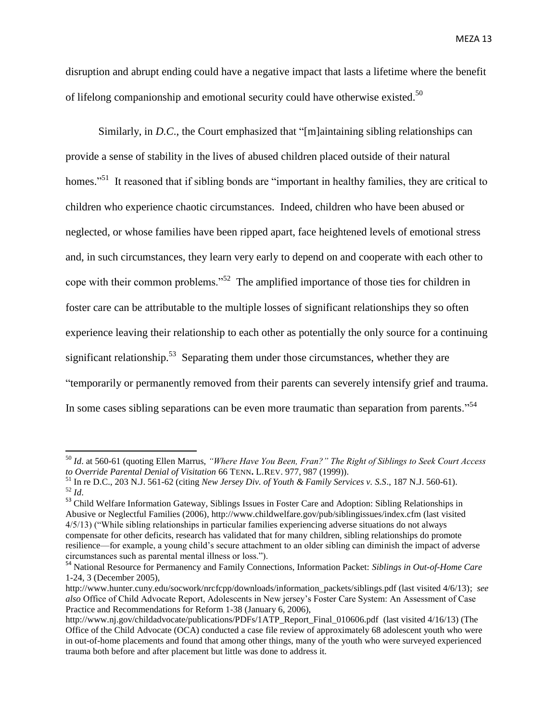disruption and abrupt ending could have a negative impact that lasts a lifetime where the benefit of lifelong companionship and emotional security could have otherwise existed.<sup>50</sup>

Similarly, in *D.C.*, the Court emphasized that "[m]aintaining sibling relationships can provide a sense of stability in the lives of abused children placed outside of their natural homes."<sup>51</sup> It reasoned that if sibling bonds are "important in healthy families, they are critical to children who experience chaotic circumstances. Indeed, children who have been abused or neglected, or whose families have been ripped apart, face heightened levels of emotional stress and, in such circumstances, they learn very early to depend on and cooperate with each other to cope with their common problems."<sup>52</sup> The amplified importance of those ties for children in foster care can be attributable to the multiple losses of significant relationships they so often experience leaving their relationship to each other as potentially the only source for a continuing significant relationship.<sup>53</sup> Separating them under those circumstances, whether they are "temporarily or permanently removed from their parents can severely intensify grief and trauma. In some cases sibling separations can be even more traumatic than separation from parents."<sup>54</sup>

<sup>50</sup> *Id*. at 560-61 (quoting Ellen Marrus, *"Where Have You Been, Fran?" The Right of Siblings to Seek Court Access to Override Parental Denial of Visitation* 66 TENN**.** L.REV. 977, 987 (1999)).

<sup>51</sup> In re D.C., 203 N.J. 561-62 (citing *New Jersey Div. of Youth & Family Services v. S.S*., 187 N.J. 560-61). <sup>52</sup> *Id*.

<sup>53</sup> Child Welfare Information Gateway, Siblings Issues in Foster Care and Adoption: Sibling Relationships in Abusive or Neglectful Families (2006), http://www.childwelfare.gov/pub/siblingissues/index.cfm (last visited 4/5/13) ("While sibling relationships in particular families experiencing adverse situations do not always compensate for other deficits, research has validated that for many children, sibling relationships do promote resilience—for example, a young child's secure attachment to an older sibling can diminish the impact of adverse circumstances such as parental mental illness or loss.").

<sup>54</sup> National Resource for Permanency and Family Connections, Information Packet: *Siblings in Out-of-Home Care* 1-24, 3 (December 2005),

http://www.hunter.cuny.edu/socwork/nrcfcpp/downloads/information\_packets/siblings.pdf (last visited 4/6/13); *see also* Office of Child Advocate Report, Adolescents in New jersey's Foster Care System: An Assessment of Case Practice and Recommendations for Reform 1-38 (January 6, 2006),

http://www.nj.gov/childadvocate/publications/PDFs/1ATP\_Report\_Final\_010606.pdf (last visited 4/16/13) (The Office of the Child Advocate (OCA) conducted a case file review of approximately 68 adolescent youth who were in out-of-home placements and found that among other things, many of the youth who were surveyed experienced trauma both before and after placement but little was done to address it.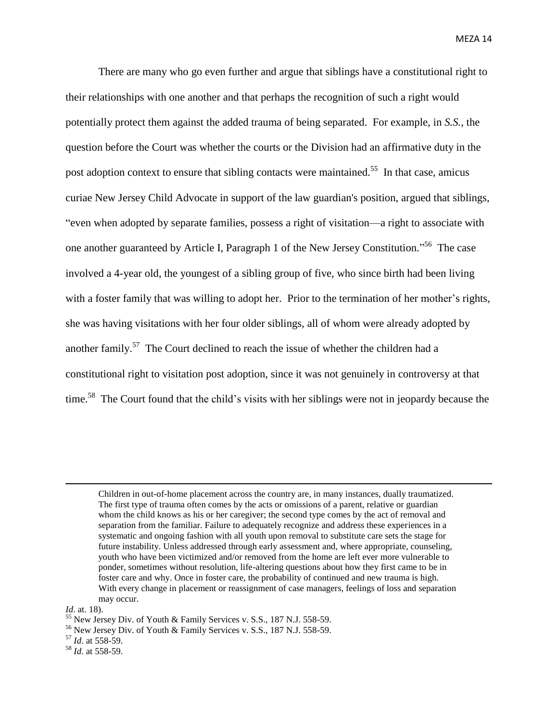There are many who go even further and argue that siblings have a constitutional right to their relationships with one another and that perhaps the recognition of such a right would potentially protect them against the added trauma of being separated. For example, in *S.S.*, the question before the Court was whether the courts or the Division had an affirmative duty in the post adoption context to ensure that sibling contacts were maintained.<sup>55</sup> In that case, amicus curiae New Jersey Child Advocate in support of the law guardian's position, argued that siblings, "even when adopted by separate families, possess a right of visitation—a right to associate with one another guaranteed by Article I, Paragraph 1 of the New Jersey Constitution."<sup>56</sup> The case involved a 4-year old, the youngest of a sibling group of five, who since birth had been living with a foster family that was willing to adopt her. Prior to the termination of her mother's rights, she was having visitations with her four older siblings, all of whom were already adopted by another family.<sup>57</sup> The Court declined to reach the issue of whether the children had a constitutional right to visitation post adoption, since it was not genuinely in controversy at that time.<sup>58</sup> The Court found that the child's visits with her siblings were not in jeopardy because the

- <sup>56</sup> New Jersey Div. of Youth & Family Services v. S.S., 187 N.J. 558-59.
- <sup>57</sup> *Id*. at 558-59.

Children in out-of-home placement across the country are, in many instances, dually traumatized. The first type of trauma often comes by the acts or omissions of a parent, relative or guardian whom the child knows as his or her caregiver; the second type comes by the act of removal and separation from the familiar. Failure to adequately recognize and address these experiences in a systematic and ongoing fashion with all youth upon removal to substitute care sets the stage for future instability. Unless addressed through early assessment and, where appropriate, counseling, youth who have been victimized and/or removed from the home are left ever more vulnerable to ponder, sometimes without resolution, life-altering questions about how they first came to be in foster care and why. Once in foster care, the probability of continued and new trauma is high. With every change in placement or reassignment of case managers, feelings of loss and separation may occur.

*Id*. at. 18).

<sup>55</sup> New Jersey Div. of Youth & Family Services v. S.S., 187 N.J. 558-59.

<sup>58</sup> *Id*. at 558-59.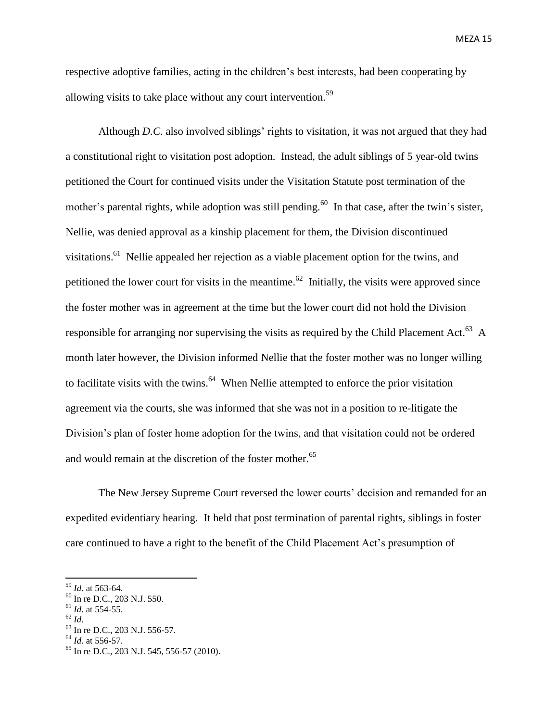respective adoptive families, acting in the children's best interests, had been cooperating by allowing visits to take place without any court intervention.<sup>59</sup>

Although *D.C*. also involved siblings' rights to visitation, it was not argued that they had a constitutional right to visitation post adoption. Instead, the adult siblings of 5 year-old twins petitioned the Court for continued visits under the Visitation Statute post termination of the mother's parental rights, while adoption was still pending.<sup>60</sup> In that case, after the twin's sister, Nellie, was denied approval as a kinship placement for them, the Division discontinued visitations.<sup>61</sup> Nellie appealed her rejection as a viable placement option for the twins, and petitioned the lower court for visits in the meantime.<sup>62</sup> Initially, the visits were approved since the foster mother was in agreement at the time but the lower court did not hold the Division responsible for arranging nor supervising the visits as required by the Child Placement Act.<sup>63</sup> A month later however, the Division informed Nellie that the foster mother was no longer willing to facilitate visits with the twins.<sup>64</sup> When Nellie attempted to enforce the prior visitation agreement via the courts, she was informed that she was not in a position to re-litigate the Division's plan of foster home adoption for the twins, and that visitation could not be ordered and would remain at the discretion of the foster mother.<sup>65</sup>

The New Jersey Supreme Court reversed the lower courts' decision and remanded for an expedited evidentiary hearing. It held that post termination of parental rights, siblings in foster care continued to have a right to the benefit of the Child Placement Act's presumption of

<sup>59</sup> *Id*. at 563-64.

<sup>60</sup> In re D.C., 203 N.J. 550.

 $^{61}$  *Id.* at 554-55.

<sup>62</sup> *Id*.

<sup>63</sup> In re D.C., 203 N.J. 556-57.

<sup>64</sup> *Id*. at 556-57.

<sup>65</sup> In re D.C., 203 N.J. 545, 556-57 (2010).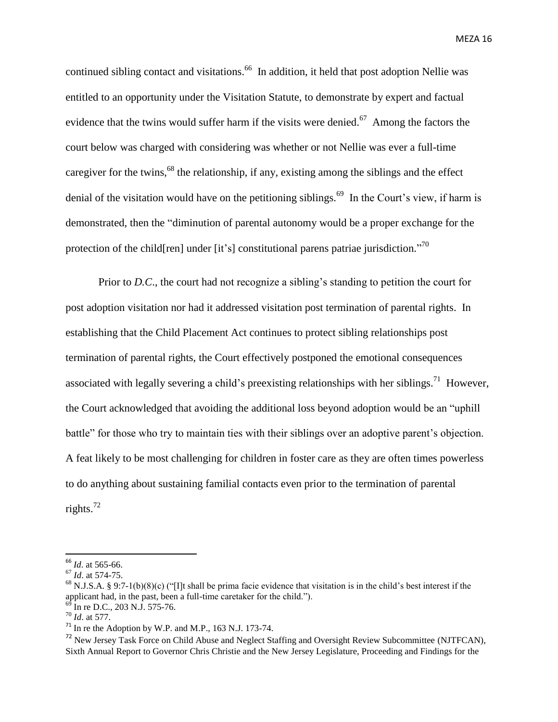continued sibling contact and visitations.<sup>66</sup> In addition, it held that post adoption Nellie was entitled to an opportunity under the Visitation Statute, to demonstrate by expert and factual evidence that the twins would suffer harm if the visits were denied.<sup>67</sup> Among the factors the court below was charged with considering was whether or not Nellie was ever a full-time caregiver for the twins,<sup>68</sup> the relationship, if any, existing among the siblings and the effect denial of the visitation would have on the petitioning siblings.<sup>69</sup> In the Court's view, if harm is demonstrated, then the "diminution of parental autonomy would be a proper exchange for the protection of the child [ren] under [it's] constitutional parens patriae jurisdiction.<sup>70</sup>

Prior to *D.C*., the court had not recognize a sibling's standing to petition the court for post adoption visitation nor had it addressed visitation post termination of parental rights. In establishing that the Child Placement Act continues to protect sibling relationships post termination of parental rights, the Court effectively postponed the emotional consequences associated with legally severing a child's preexisting relationships with her siblings.<sup>71</sup> However, the Court acknowledged that avoiding the additional loss beyond adoption would be an "uphill battle" for those who try to maintain ties with their siblings over an adoptive parent's objection. A feat likely to be most challenging for children in foster care as they are often times powerless to do anything about sustaining familial contacts even prior to the termination of parental rights. 72

<sup>66</sup> *Id*. at 565-66.

<sup>67</sup> *Id*. at 574-75.

<sup>&</sup>lt;sup>68</sup> N.J.S.A. § 9:7-1(b)(8)(c) ("[I]t shall be prima facie evidence that visitation is in the child's best interest if the applicant had, in the past, been a full-time caretaker for the child.").

In re D.C., 203 N.J. 575-76.

<sup>70</sup> *Id*. at 577.

 $71$  In re the Adoption by W.P. and M.P., 163 N.J. 173-74.

<sup>&</sup>lt;sup>72</sup> New Jersey Task Force on Child Abuse and Neglect Staffing and Oversight Review Subcommittee (NJTFCAN), Sixth Annual Report to Governor Chris Christie and the New Jersey Legislature, Proceeding and Findings for the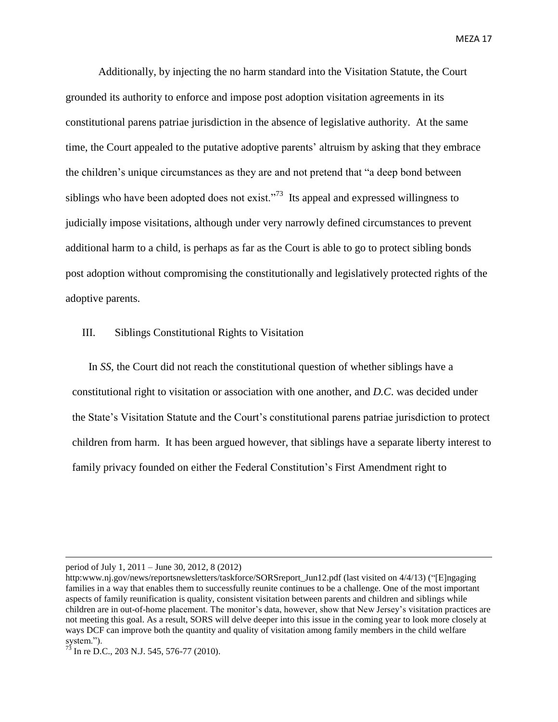Additionally, by injecting the no harm standard into the Visitation Statute, the Court grounded its authority to enforce and impose post adoption visitation agreements in its constitutional parens patriae jurisdiction in the absence of legislative authority. At the same time, the Court appealed to the putative adoptive parents' altruism by asking that they embrace the children's unique circumstances as they are and not pretend that "a deep bond between siblings who have been adopted does not exist. $1^{37}$  Its appeal and expressed willingness to judicially impose visitations, although under very narrowly defined circumstances to prevent additional harm to a child, is perhaps as far as the Court is able to go to protect sibling bonds post adoption without compromising the constitutionally and legislatively protected rights of the adoptive parents.

## III. Siblings Constitutional Rights to Visitation

In *SS*, the Court did not reach the constitutional question of whether siblings have a constitutional right to visitation or association with one another, and *D.C*. was decided under the State's Visitation Statute and the Court's constitutional parens patriae jurisdiction to protect children from harm. It has been argued however, that siblings have a separate liberty interest to family privacy founded on either the Federal Constitution's First Amendment right to

period of July 1, 2011 – June 30, 2012, 8 (2012)

http:www.nj.gov/news/reportsnewsletters/taskforce/SORSreport\_Jun12.pdf (last visited on 4/4/13) ("[E]ngaging families in a way that enables them to successfully reunite continues to be a challenge. One of the most important aspects of family reunification is quality, consistent visitation between parents and children and siblings while children are in out-of-home placement. The monitor's data, however, show that New Jersey's visitation practices are not meeting this goal. As a result, SORS will delve deeper into this issue in the coming year to look more closely at ways DCF can improve both the quantity and quality of visitation among family members in the child welfare system.").

 $^{73}$  In re D.C., 203 N.J. 545, 576-77 (2010).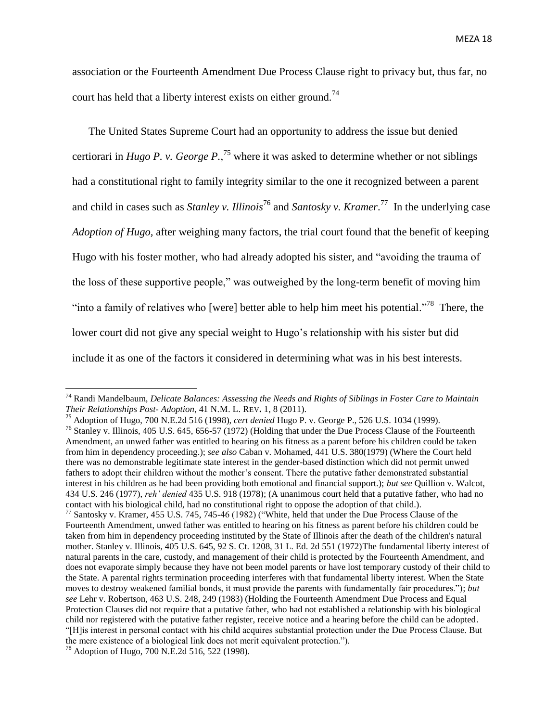association or the Fourteenth Amendment Due Process Clause right to privacy but, thus far, no court has held that a liberty interest exists on either ground.<sup>74</sup>

The United States Supreme Court had an opportunity to address the issue but denied certiorari in *Hugo P. v. George P.*, <sup>75</sup> where it was asked to determine whether or not siblings had a constitutional right to family integrity similar to the one it recognized between a parent and child in cases such as *Stanley v. Illinois*<sup>76</sup> and *Santosky v. Kramer*. <sup>77</sup> In the underlying case *Adoption of Hugo,* after weighing many factors, the trial court found that the benefit of keeping Hugo with his foster mother, who had already adopted his sister, and "avoiding the trauma of the loss of these supportive people," was outweighed by the long-term benefit of moving him "into a family of relatives who [were] better able to help him meet his potential."<sup>78</sup> There, the lower court did not give any special weight to Hugo's relationship with his sister but did include it as one of the factors it considered in determining what was in his best interests.

<sup>74</sup> Randi Mandelbaum, *Delicate Balances: Assessing the Needs and Rights of Siblings in Foster Care to Maintain Their Relationships Post- Adoption*, 41 N.M. L. REV**.** 1, 8 (2011).

<sup>75</sup> Adoption of Hugo, 700 N.E.2d 516 (1998), *cert denied* Hugo P. v. George P., 526 U.S. 1034 (1999).

<sup>&</sup>lt;sup>76</sup> Stanley v. Illinois, 405 U.S. 645, 656-57 (1972) (Holding that under the Due Process Clause of the Fourteenth Amendment, an unwed father was entitled to hearing on his fitness as a parent before his children could be taken from him in dependency proceeding.); *see also* Caban v. Mohamed, 441 U.S. 380(1979) (Where the Court held there was no demonstrable legitimate state interest in the gender-based distinction which did not permit unwed fathers to adopt their children without the mother's consent. There the putative father demonstrated substantial interest in his children as he had been providing both emotional and financial support.); *but see* Quillion v. Walcot, 434 U.S. 246 (1977), *reh' denied* 435 U.S. 918 (1978); (A unanimous court held that a putative father, who had no contact with his biological child, had no constitutional right to oppose the adoption of that child.).

<sup>77</sup> Santosky v. Kramer, 455 U.S. 745, 745-46 (1982) ("White, held that under the Due Process Clause of the Fourteenth Amendment, unwed father was entitled to hearing on his fitness as parent before his children could be taken from him in dependency proceeding instituted by the State of Illinois after the death of the children's natural mother. Stanley v. Illinois, 405 U.S. 645, 92 S. Ct. 1208, 31 L. Ed. 2d 551 (1972)The fundamental liberty interest of natural parents in the care, custody, and management of their child is protected by the Fourteenth Amendment, and does not evaporate simply because they have not been model parents or have lost temporary custody of their child to the State. A parental rights termination proceeding interferes with that fundamental liberty interest. When the State moves to destroy weakened familial bonds, it must provide the parents with fundamentally fair procedures."); *but see* Lehr v. Robertson, 463 U.S. 248, 249 (1983) (Holding the Fourteenth Amendment Due Process and Equal Protection Clauses did not require that a putative father, who had not established a relationship with his biological child nor registered with the putative father register, receive notice and a hearing before the child can be adopted. "[H]is interest in personal contact with his child acquires substantial protection under the Due Process Clause. But the mere existence of a biological link does not merit equivalent protection.").

<sup>78</sup> Adoption of Hugo, 700 N.E.2d 516, 522 (1998).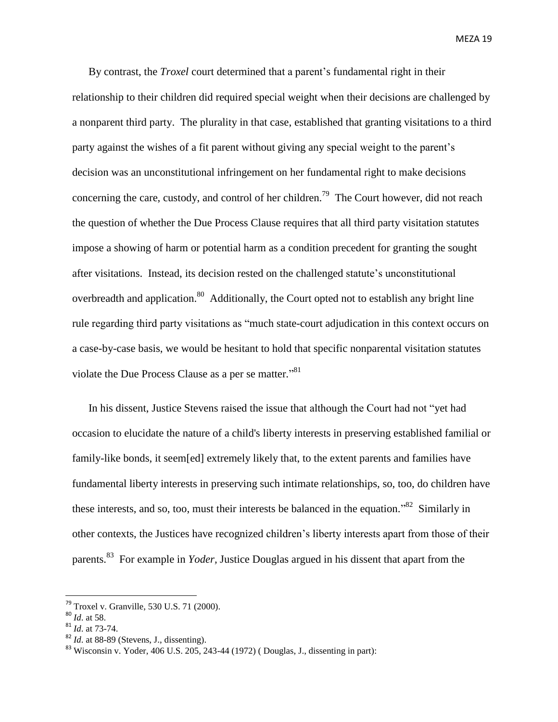By contrast, the *Troxel* court determined that a parent's fundamental right in their relationship to their children did required special weight when their decisions are challenged by a nonparent third party. The plurality in that case, established that granting visitations to a third party against the wishes of a fit parent without giving any special weight to the parent's decision was an unconstitutional infringement on her fundamental right to make decisions concerning the care, custody, and control of her children.<sup>79</sup> The Court however, did not reach the question of whether the Due Process Clause requires that all third party visitation statutes impose a showing of harm or potential harm as a condition precedent for granting the sought after visitations. Instead, its decision rested on the challenged statute's unconstitutional overbreadth and application.<sup>80</sup> Additionally, the Court opted not to establish any bright line rule regarding third party visitations as "much state-court adjudication in this context occurs on a case-by-case basis, we would be hesitant to hold that specific nonparental visitation statutes violate the Due Process Clause as a per se matter."<sup>81</sup>

In his dissent, Justice Stevens raised the issue that although the Court had not "yet had occasion to elucidate the nature of a child's liberty interests in preserving established familial or family-like bonds, it seem[ed] extremely likely that, to the extent parents and families have fundamental liberty interests in preserving such intimate relationships, so, too, do children have these interests, and so, too, must their interests be balanced in the equation.<sup>82</sup> Similarly in other contexts, the Justices have recognized children's liberty interests apart from those of their parents.<sup>83</sup> For example in *Yoder*, Justice Douglas argued in his dissent that apart from the

 $79$  Troxel v. Granville, 530 U.S. 71 (2000).

<sup>80</sup> *Id*. at 58.

<sup>81</sup> *Id*. at 73-74.

<sup>82</sup> *Id*. at 88-89 (Stevens, J., dissenting).

<sup>83</sup> Wisconsin v. Yoder, 406 U.S. 205, 243-44 (1972) ( Douglas, J., dissenting in part):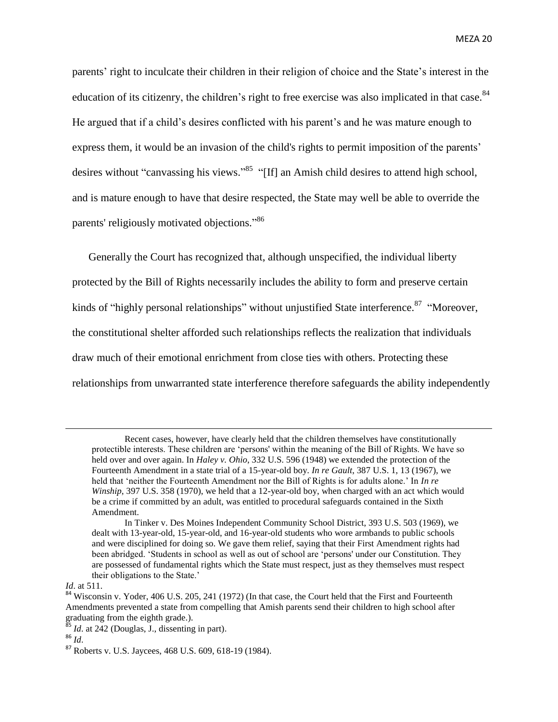parents' right to inculcate their children in their religion of choice and the State's interest in the education of its citizenry, the children's right to free exercise was also implicated in that case.<sup>84</sup> He argued that if a child's desires conflicted with his parent's and he was mature enough to express them, it would be an invasion of the child's rights to permit imposition of the parents' desires without "canvassing his views."<sup>85</sup> "[If] an Amish child desires to attend high school, and is mature enough to have that desire respected, the State may well be able to override the parents' religiously motivated objections."<sup>86</sup>

Generally the Court has recognized that, although unspecified, the individual liberty protected by the Bill of Rights necessarily includes the ability to form and preserve certain kinds of "highly personal relationships" without unjustified State interference.<sup>87</sup> "Moreover, the constitutional shelter afforded such relationships reflects the realization that individuals draw much of their emotional enrichment from close ties with others. Protecting these relationships from unwarranted state interference therefore safeguards the ability independently

Recent cases, however, have clearly held that the children themselves have constitutionally protectible interests. These children are 'persons' within the meaning of the Bill of Rights. We have so held over and over again. In *Haley v. Ohio*, 332 U.S. 596 (1948) we extended the protection of the Fourteenth Amendment in a state trial of a 15-year-old boy. *In re Gault*, 387 U.S. 1, 13 (1967), we held that 'neither the Fourteenth Amendment nor the Bill of Rights is for adults alone.' In *In re Winship*, 397 U.S. 358 (1970), we held that a 12-year-old boy, when charged with an act which would be a crime if committed by an adult, was entitled to procedural safeguards contained in the Sixth Amendment.

In Tinker v. Des Moines Independent Community School District, 393 U.S. 503 (1969), we dealt with 13-year-old, 15-year-old, and 16-year-old students who wore armbands to public schools and were disciplined for doing so. We gave them relief, saying that their First Amendment rights had been abridged. 'Students in school as well as out of school are 'persons' under our Constitution. They are possessed of fundamental rights which the State must respect, just as they themselves must respect their obligations to the State.'

*Id*. at 511.

<sup>&</sup>lt;sup>84</sup> Wisconsin v. Yoder, 406 U.S. 205, 241 (1972) (In that case, the Court held that the First and Fourteenth Amendments prevented a state from compelling that Amish parents send their children to high school after graduating from the eighth grade.).

 $\frac{5}{3}$  *Id.* at 242 (Douglas, J., dissenting in part).

<sup>86</sup> *Id*.

<sup>87</sup> Roberts v. U.S. Jaycees, 468 U.S. 609, 618-19 (1984).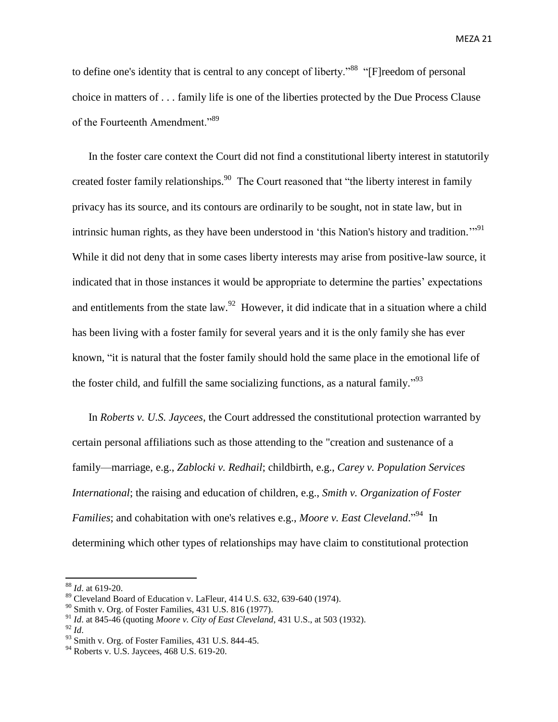to define one's identity that is central to any concept of liberty."<sup>88</sup> "[F]reedom of personal choice in matters of . . . family life is one of the liberties protected by the Due Process Clause of the Fourteenth Amendment."<sup>89</sup>

In the foster care context the Court did not find a constitutional liberty interest in statutorily created foster family relationships.<sup>90</sup> The Court reasoned that "the liberty interest in family privacy has its source, and its contours are ordinarily to be sought, not in state law, but in intrinsic human rights, as they have been understood in 'this Nation's history and tradition."<sup>91</sup> While it did not deny that in some cases liberty interests may arise from positive-law source, it indicated that in those instances it would be appropriate to determine the parties' expectations and entitlements from the state law.<sup>92</sup> However, it did indicate that in a situation where a child has been living with a foster family for several years and it is the only family she has ever known, "it is natural that the foster family should hold the same place in the emotional life of the foster child, and fulfill the same socializing functions, as a natural family."<sup>93</sup>

In *Roberts v. U.S. Jaycees*, the Court addressed the constitutional protection warranted by certain personal affiliations such as those attending to the "creation and sustenance of a family—marriage, e.g., *Zablocki v. Redhail*; childbirth, e.g., *Carey v. Population Services International*; the raising and education of children, e.g., *Smith v. Organization of Foster*  Families; and cohabitation with one's relatives e.g., *Moore v. East Cleveland*."<sup>94</sup> In determining which other types of relationships may have claim to constitutional protection

<sup>88</sup> *Id*. at 619-20.

 $89$  Cleveland Board of Education v. LaFleur, 414 U.S. 632, 639-640 (1974).

 $90$  Smith v. Org. of Foster Families, 431 U.S. 816 (1977).

<sup>91</sup> *Id*. at 845-46 (quoting *Moore v. City of East Cleveland*, 431 U.S., at 503 (1932).

<sup>92</sup> *Id*.

 $93$  Smith v. Org. of Foster Families, 431 U.S. 844-45.

<sup>&</sup>lt;sup>94</sup> Roberts v. U.S. Jaycees, 468 U.S. 619-20.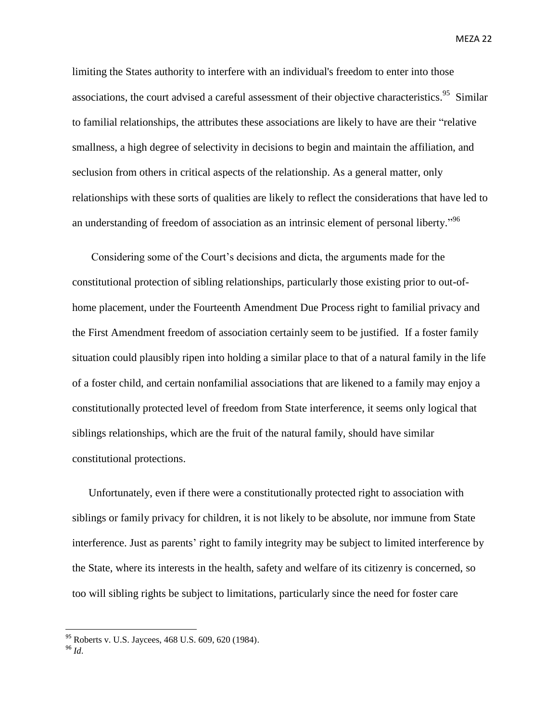limiting the States authority to interfere with an individual's freedom to enter into those associations, the court advised a careful assessment of their objective characteristics.<sup>95</sup> Similar to familial relationships, the attributes these associations are likely to have are their "relative smallness, a high degree of selectivity in decisions to begin and maintain the affiliation, and seclusion from others in critical aspects of the relationship. As a general matter, only relationships with these sorts of qualities are likely to reflect the considerations that have led to an understanding of freedom of association as an intrinsic element of personal liberty."<sup>96</sup>

Considering some of the Court's decisions and dicta, the arguments made for the constitutional protection of sibling relationships, particularly those existing prior to out-ofhome placement, under the Fourteenth Amendment Due Process right to familial privacy and the First Amendment freedom of association certainly seem to be justified. If a foster family situation could plausibly ripen into holding a similar place to that of a natural family in the life of a foster child, and certain nonfamilial associations that are likened to a family may enjoy a constitutionally protected level of freedom from State interference, it seems only logical that siblings relationships, which are the fruit of the natural family, should have similar constitutional protections.

Unfortunately, even if there were a constitutionally protected right to association with siblings or family privacy for children, it is not likely to be absolute, nor immune from State interference. Just as parents' right to family integrity may be subject to limited interference by the State, where its interests in the health, safety and welfare of its citizenry is concerned, so too will sibling rights be subject to limitations, particularly since the need for foster care

<sup>&</sup>lt;sup>95</sup> Roberts v. U.S. Jaycees, 468 U.S. 609, 620 (1984).

 $^{96}$  *Id*.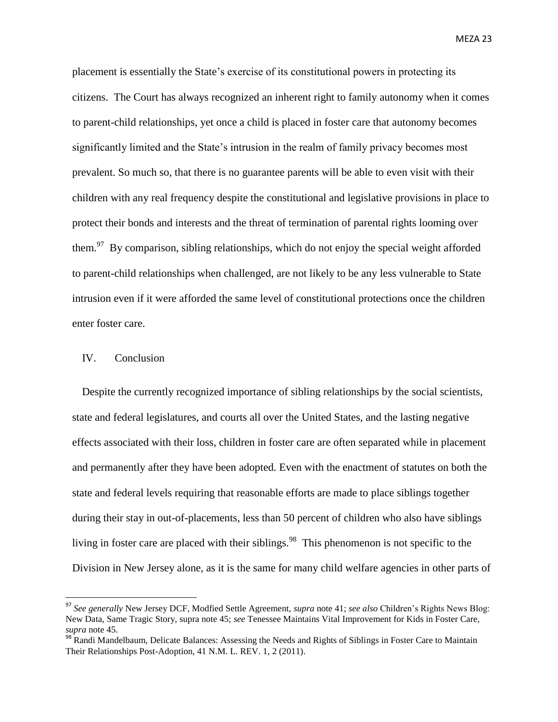placement is essentially the State's exercise of its constitutional powers in protecting its citizens. The Court has always recognized an inherent right to family autonomy when it comes to parent-child relationships, yet once a child is placed in foster care that autonomy becomes significantly limited and the State's intrusion in the realm of family privacy becomes most prevalent. So much so, that there is no guarantee parents will be able to even visit with their children with any real frequency despite the constitutional and legislative provisions in place to protect their bonds and interests and the threat of termination of parental rights looming over them.<sup>97</sup> By comparison, sibling relationships, which do not enjoy the special weight afforded to parent-child relationships when challenged, are not likely to be any less vulnerable to State intrusion even if it were afforded the same level of constitutional protections once the children enter foster care.

## IV. Conclusion

 $\overline{a}$ 

Despite the currently recognized importance of sibling relationships by the social scientists, state and federal legislatures, and courts all over the United States, and the lasting negative effects associated with their loss, children in foster care are often separated while in placement and permanently after they have been adopted. Even with the enactment of statutes on both the state and federal levels requiring that reasonable efforts are made to place siblings together during their stay in out-of-placements, less than 50 percent of children who also have siblings living in foster care are placed with their siblings.<sup>98</sup> This phenomenon is not specific to the Division in New Jersey alone, as it is the same for many child welfare agencies in other parts of

<sup>97</sup> *See generally* New Jersey DCF, Modfied Settle Agreement, *supra* note 41; *see also* Children's Rights News Blog: New Data, Same Tragic Story, supra note 45; *see* Tenessee Maintains Vital Improvement for Kids in Foster Care, *supra* note 45.

<sup>98</sup> Randi Mandelbaum, Delicate Balances: Assessing the Needs and Rights of Siblings in Foster Care to Maintain Their Relationships Post-Adoption, 41 N.M. L. REV. 1, 2 (2011).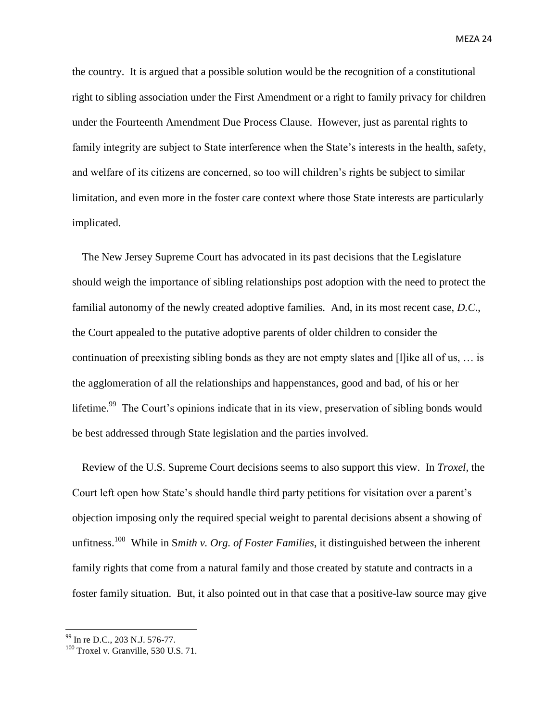the country. It is argued that a possible solution would be the recognition of a constitutional right to sibling association under the First Amendment or a right to family privacy for children under the Fourteenth Amendment Due Process Clause. However, just as parental rights to family integrity are subject to State interference when the State's interests in the health, safety, and welfare of its citizens are concerned, so too will children's rights be subject to similar limitation, and even more in the foster care context where those State interests are particularly implicated.

The New Jersey Supreme Court has advocated in its past decisions that the Legislature should weigh the importance of sibling relationships post adoption with the need to protect the familial autonomy of the newly created adoptive families. And, in its most recent case, *D.C*., the Court appealed to the putative adoptive parents of older children to consider the continuation of preexisting sibling bonds as they are not empty slates and [l]ike all of us, … is the agglomeration of all the relationships and happenstances, good and bad, of his or her lifetime.<sup>99</sup> The Court's opinions indicate that in its view, preservation of sibling bonds would be best addressed through State legislation and the parties involved.

Review of the U.S. Supreme Court decisions seems to also support this view. In *Troxel,* the Court left open how State's should handle third party petitions for visitation over a parent's objection imposing only the required special weight to parental decisions absent a showing of unfitness. <sup>100</sup> While in S*mith v. Org. of Foster Families*, it distinguished between the inherent family rights that come from a natural family and those created by statute and contracts in a foster family situation. But, it also pointed out in that case that a positive-law source may give

<sup>&</sup>lt;sup>99</sup> In re D.C., 203 N.J. 576-77.

 $100$  Troxel v. Granville, 530 U.S. 71.